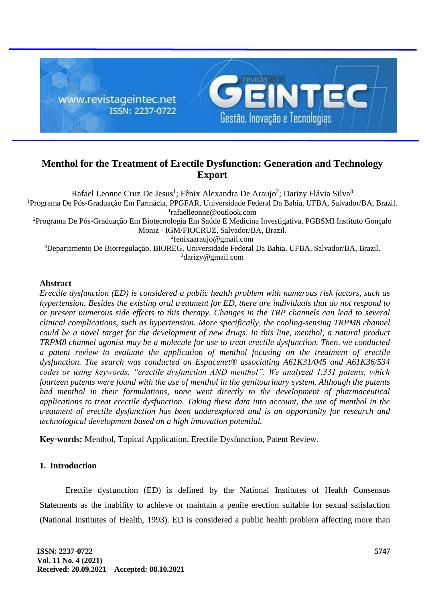

# **Menthol for the Treatment of Erectile Dysfunction: Generation and Technology Export**

Rafael Leonne Cruz De Jesus<sup>1</sup>; Fênix Alexandra De Araujo<sup>2</sup>; Darizy Flávia Silva<sup>3</sup> Programa De Pós-Graduação Em Farmácia, PPGFAR, Universidade Federal Da Bahia, UFBA, Salvador/BA, Brazil. rafaelleonne@outlook.com Programa De Pós-Graduação Em Biotecnologia Em Saúde E Medicina Investigativa, PGBSMI Instituto Gonçalo Moniz - IGM/FIOCRUZ, Salvador/BA, Brazil. fenixaaraujo@gmail.com Departamento De Biorregulação, BIOREG, Universidade Federal Da Bahia, UFBA, Salvador/BA, Brazil. darizy@gmail.com

#### **Abstract**

*Erectile dysfunction (ED) is considered a public health problem with numerous risk factors, such as hypertension. Besides the existing oral treatment for ED, there are individuals that do not respond to or present numerous side effects to this therapy. Changes in the TRP channels can lead to several clinical complications, such as hypertension. More specifically, the cooling-sensing TRPM8 channel could be a novel target for the development of new drugs. In this line, menthol, a natural product TRPM8 channel agonist may be a molecule for use to treat erectile dysfunction. Then, we conducted a patent review to evaluate the application of menthol focusing on the treatment of erectile dysfunction. The search was conducted on Espacenet® associating A61K31/045 and A61K36/534 codes or using keywords, "erectile dysfunction AND menthol". We analyzed 1,331 patents, which fourteen patents were found with the use of menthol in the genitourinary system. Although the patents had menthol in their formulations, none went directly to the development of pharmaceutical applications to treat erectile dysfunction. Taking these data into account, the use of menthol in the treatment of erectile dysfunction has been underexplored and is an opportunity for research and technological development based on a high innovation potential.*

**Key-words:** Menthol, Topical Application, Erectile Dysfunction, Patent Review.

#### **1. Introduction**

Erectile dysfunction (ED) is defined by the National Institutes of Health Consensus Statements as the inability to achieve or maintain a penile erection suitable for sexual satisfaction (National Institutes of Health, 1993). ED is considered a public health problem affecting more than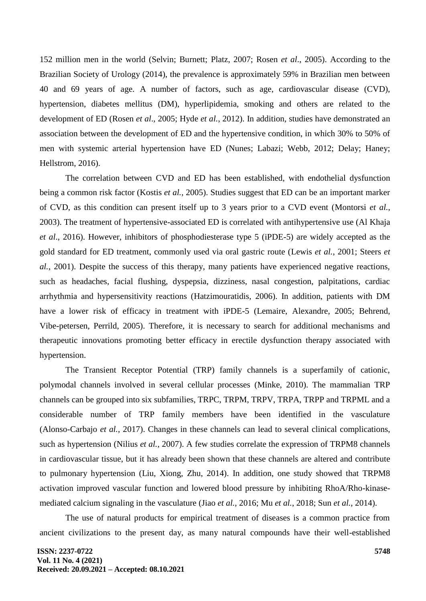152 million men in the world (Selvin; Burnett; Platz, 2007; Rosen *et al*., 2005). According to the Brazilian Society of Urology (2014), the prevalence is approximately 59% in Brazilian men between 40 and 69 years of age. A number of factors, such as age, cardiovascular disease (CVD), hypertension, diabetes mellitus (DM), hyperlipidemia, smoking and others are related to the development of ED (Rosen *et al*., 2005; Hyde *et al.*, 2012). In addition, studies have demonstrated an association between the development of ED and the hypertensive condition, in which 30% to 50% of men with systemic arterial hypertension have ED (Nunes; Labazi; Webb, 2012; Delay; Haney; Hellstrom, 2016).

The correlation between CVD and ED has been established, with endothelial dysfunction being a common risk factor (Kostis *et al.*, 2005). Studies suggest that ED can be an important marker of CVD, as this condition can present itself up to 3 years prior to a CVD event (Montorsi *et al.*, 2003). The treatment of hypertensive-associated ED is correlated with antihypertensive use (Al Khaja *et al*., 2016). However, inhibitors of phosphodiesterase type 5 (iPDE-5) are widely accepted as the gold standard for ED treatment, commonly used via oral gastric route (Lewis *et al.*, 2001; Steers *et al.*, 2001). Despite the success of this therapy, many patients have experienced negative reactions, such as headaches, facial flushing, dyspepsia, dizziness, nasal congestion, palpitations, cardiac arrhythmia and hypersensitivity reactions (Hatzimouratidis, 2006). In addition, patients with DM have a lower risk of efficacy in treatment with iPDE-5 (Lemaire, Alexandre, 2005; Behrend, Vibe-petersen, Perrild, 2005). Therefore, it is necessary to search for additional mechanisms and therapeutic innovations promoting better efficacy in erectile dysfunction therapy associated with hypertension.

The Transient Receptor Potential (TRP) family channels is a superfamily of cationic, polymodal channels involved in several cellular processes (Minke, 2010). The mammalian TRP channels can be grouped into six subfamilies, TRPC, TRPM, TRPV, TRPA, TRPP and TRPML and a considerable number of TRP family members have been identified in the vasculature (Alonso-Carbajo *et al.*, 2017). Changes in these channels can lead to several clinical complications, such as hypertension (Nilius *et al.*, 2007). A few studies correlate the expression of TRPM8 channels in cardiovascular tissue, but it has already been shown that these channels are altered and contribute to pulmonary hypertension (Liu, Xiong, Zhu, 2014). In addition, one study showed that TRPM8 activation improved vascular function and lowered blood pressure by inhibiting RhoA/Rho-kinasemediated calcium signaling in the vasculature (Jiao *et al.*, 2016; Mu *et al.*, 2018; Sun *et al.*, 2014).

The use of natural products for empirical treatment of diseases is a common practice from ancient civilizations to the present day, as many natural compounds have their well-established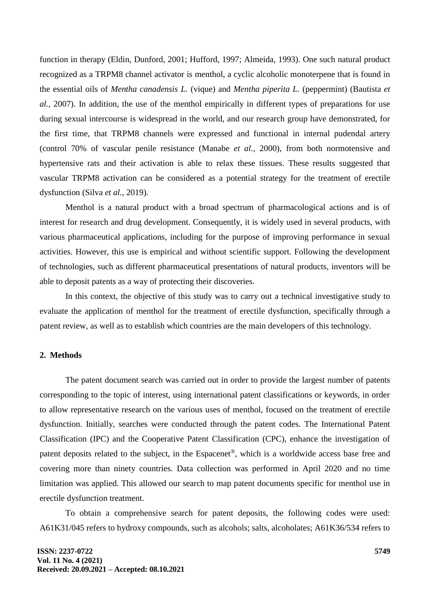function in therapy (Eldin, Dunford, 2001; Hufford, 1997; Almeida, 1993). One such natural product recognized as a TRPM8 channel activator is menthol, a cyclic alcoholic monoterpene that is found in the essential oils of *Mentha canadensis L.* (vique) and *Mentha piperita L.* (peppermint) (Bautista *et al.*, 2007). In addition, the use of the menthol empirically in different types of preparations for use during sexual intercourse is widespread in the world, and our research group have demonstrated, for the first time, that TRPM8 channels were expressed and functional in internal pudendal artery (control 70% of vascular penile resistance (Manabe *et al.*, 2000), from both normotensive and hypertensive rats and their activation is able to relax these tissues. These results suggested that vascular TRPM8 activation can be considered as a potential strategy for the treatment of erectile dysfunction (Silva *et al.*, 2019).

Menthol is a natural product with a broad spectrum of pharmacological actions and is of interest for research and drug development. Consequently, it is widely used in several products, with various pharmaceutical applications, including for the purpose of improving performance in sexual activities. However, this use is empirical and without scientific support. Following the development of technologies, such as different pharmaceutical presentations of natural products, inventors will be able to deposit patents as a way of protecting their discoveries.

In this context, the objective of this study was to carry out a technical investigative study to evaluate the application of menthol for the treatment of erectile dysfunction, specifically through a patent review, as well as to establish which countries are the main developers of this technology.

## **2. Methods**

The patent document search was carried out in order to provide the largest number of patents corresponding to the topic of interest, using international patent classifications or keywords, in order to allow representative research on the various uses of menthol, focused on the treatment of erectile dysfunction. Initially, searches were conducted through the patent codes. The International Patent Classification (IPC) and the Cooperative Patent Classification (CPC), enhance the investigation of patent deposits related to the subject, in the Espacenet®, which is a worldwide access base free and covering more than ninety countries. Data collection was performed in April 2020 and no time limitation was applied. This allowed our search to map patent documents specific for menthol use in erectile dysfunction treatment.

To obtain a comprehensive search for patent deposits, the following codes were used: A61K31/045 refers to hydroxy compounds, such as alcohols; salts, alcoholates; A61K36/534 refers to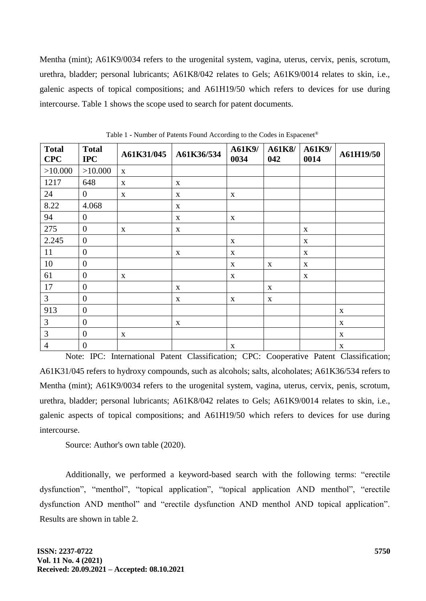Mentha (mint); A61K9/0034 refers to the urogenital system, vagina, uterus, cervix, penis, scrotum, urethra, bladder; personal lubricants; A61K8/042 relates to Gels; A61K9/0014 relates to skin, i.e., galenic aspects of topical compositions; and A61H19/50 which refers to devices for use during intercourse. Table 1 shows the scope used to search for patent documents.

| <b>Total</b><br><b>CPC</b> | <b>Total</b><br><b>IPC</b> | A61K31/045   | A61K36/534    | A61K9/<br>0034            | A61K8/<br>042 | A61K9/<br>0014 | A61H19/50                     |
|----------------------------|----------------------------|--------------|---------------|---------------------------|---------------|----------------|-------------------------------|
| >10.000                    | >10.000                    | $\mathbf{X}$ |               |                           |               |                |                               |
| 1217                       | 648                        | $\mathbf{X}$ | $\mathbf X$   |                           |               |                |                               |
| 24                         | $\overline{0}$             | $\mathbf X$  | $\mathbf{X}$  | $\mathbf X$               |               |                |                               |
| 8.22                       | 4.068                      |              | $\mathbf{X}$  |                           |               |                |                               |
| 94                         | $\mathbf{0}$               |              | $\mathbf{X}$  | $\mathbf X$               |               |                |                               |
| 275                        | $\mathbf{0}$               | $\mathbf{X}$ | $\mathbf X$   |                           |               | $\mathbf X$    |                               |
| 2.245                      | $\mathbf{0}$               |              |               | $\mathbf X$               |               | $\mathbf{X}$   |                               |
| 11                         | $\boldsymbol{0}$           |              | $\mathbf X$   | $\boldsymbol{\mathrm{X}}$ |               | $\mathbf X$    |                               |
| 10                         | $\boldsymbol{0}$           |              |               | $\mathbf{X}$              | $\mathbf X$   | $\mathbf X$    |                               |
| 61                         | $\boldsymbol{0}$           | $\mathbf{X}$ |               | $\boldsymbol{\mathrm{X}}$ |               | $\mathbf X$    |                               |
| 17                         | $\boldsymbol{0}$           |              | $\mathbf X$   |                           | $\mathbf X$   |                |                               |
| 3                          | $\mathbf{0}$               |              | X             | $\mathbf X$               | $\mathbf X$   |                |                               |
| 913                        | $\mathbf{0}$               |              |               |                           |               |                | $\mathbf{X}$                  |
| 3                          | $\mathbf{0}$               |              | $\mathbf X$   |                           |               |                | $\mathbf X$                   |
| 3                          | $\overline{0}$             | $\mathbf{X}$ |               |                           |               |                | $\mathbf X$                   |
| $\overline{4}$             | $\mathbf{0}$               |              | $\sim$ $\sim$ | $\mathbf{X}$              |               |                | $\mathbf{X}$<br>$\sim$ $\sim$ |

Table 1 **-** Number of Patents Found According to the Codes in Espacenet®

Note: IPC: International Patent Classification; CPC: Cooperative Patent Classification; A61K31/045 refers to hydroxy compounds, such as alcohols; salts, alcoholates; A61K36/534 refers to Mentha (mint); A61K9/0034 refers to the urogenital system, vagina, uterus, cervix, penis, scrotum, urethra, bladder; personal lubricants; A61K8/042 relates to Gels; A61K9/0014 relates to skin, i.e., galenic aspects of topical compositions; and A61H19/50 which refers to devices for use during intercourse.

Source: Author's own table (2020).

Additionally, we performed a keyword-based search with the following terms: "erectile dysfunction", "menthol", "topical application", "topical application AND menthol", "erectile dysfunction AND menthol" and "erectile dysfunction AND menthol AND topical application". Results are shown in table 2.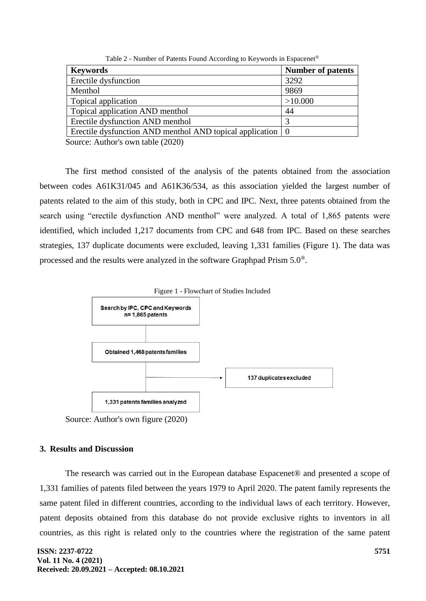| <b>Keywords</b>                                          | <b>Number of patents</b> |  |  |  |
|----------------------------------------------------------|--------------------------|--|--|--|
| Erectile dysfunction                                     | 3292                     |  |  |  |
| Menthol                                                  | 9869                     |  |  |  |
| Topical application                                      | >10.000                  |  |  |  |
| Topical application AND menthol                          | 44                       |  |  |  |
| Erectile dysfunction AND menthol                         | 3                        |  |  |  |
| Erectile dysfunction AND menthol AND topical application | $\overline{0}$           |  |  |  |
| $S_{\text{oumon}}$ , Author's own toble (2020)           |                          |  |  |  |

Table 2 - Number of Patents Found According to Keywords in Espacenet®

Source: Author's own table (2020)

The first method consisted of the analysis of the patents obtained from the association between codes A61K31/045 and A61K36/534, as this association yielded the largest number of patents related to the aim of this study, both in CPC and IPC. Next, three patents obtained from the search using "erectile dysfunction AND menthol" were analyzed. A total of 1,865 patents were identified, which included 1,217 documents from CPC and 648 from IPC. Based on these searches strategies, 137 duplicate documents were excluded, leaving 1,331 families (Figure 1). The data was processed and the results were analyzed in the software Graphpad Prism 5.0®.



Source: Author's own figure (2020)

## **3. Results and Discussion**

The research was carried out in the European database Espacenet® and presented a scope of 1,331 families of patents filed between the years 1979 to April 2020. The patent family represents the same patent filed in different countries, according to the individual laws of each territory. However, patent deposits obtained from this database do not provide exclusive rights to inventors in all countries, as this right is related only to the countries where the registration of the same patent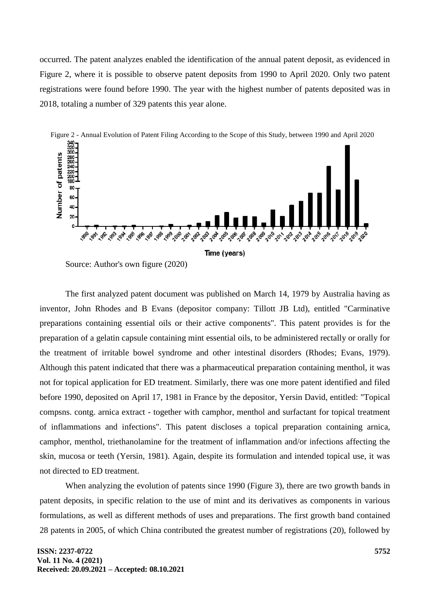occurred. The patent analyzes enabled the identification of the annual patent deposit, as evidenced in Figure 2, where it is possible to observe patent deposits from 1990 to April 2020. Only two patent registrations were found before 1990. The year with the highest number of patents deposited was in 2018, totaling a number of 329 patents this year alone.



Source: Author's own figure (2020)

The first analyzed patent document was published on March 14, 1979 by Australia having as inventor, John Rhodes and B Evans (depositor company: Tillott JB Ltd), entitled "Carminative preparations containing essential oils or their active components". This patent provides is for the preparation of a gelatin capsule containing mint essential oils, to be administered rectally or orally for the treatment of irritable bowel syndrome and other intestinal disorders (Rhodes; Evans, 1979). Although this patent indicated that there was a pharmaceutical preparation containing menthol, it was not for topical application for ED treatment. Similarly, there was one more patent identified and filed before 1990, deposited on April 17, 1981 in France by the depositor, Yersin David, entitled: "Topical compsns. contg. arnica extract - together with camphor, menthol and surfactant for topical treatment of inflammations and infections". This patent discloses a topical preparation containing arnica, camphor, menthol, triethanolamine for the treatment of inflammation and/or infections affecting the skin, mucosa or teeth (Yersin, 1981). Again, despite its formulation and intended topical use, it was not directed to ED treatment.

When analyzing the evolution of patents since 1990 (Figure 3), there are two growth bands in patent deposits, in specific relation to the use of mint and its derivatives as components in various formulations, as well as different methods of uses and preparations. The first growth band contained 28 patents in 2005, of which China contributed the greatest number of registrations (20), followed by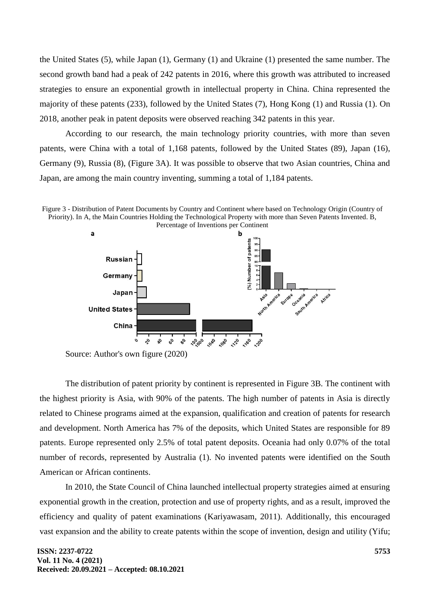the United States (5), while Japan (1), Germany (1) and Ukraine (1) presented the same number. The second growth band had a peak of 242 patents in 2016, where this growth was attributed to increased strategies to ensure an exponential growth in intellectual property in China. China represented the majority of these patents (233), followed by the United States (7), Hong Kong (1) and Russia (1). On 2018, another peak in patent deposits were observed reaching 342 patents in this year.

According to our research, the main technology priority countries, with more than seven patents, were China with a total of 1,168 patents, followed by the United States (89), Japan (16), Germany (9), Russia (8), (Figure 3A). It was possible to observe that two Asian countries, China and Japan, are among the main country inventing, summing a total of 1,184 patents.





Source: Author's own figure (2020)

The distribution of patent priority by continent is represented in Figure 3B. The continent with the highest priority is Asia, with 90% of the patents. The high number of patents in Asia is directly related to Chinese programs aimed at the expansion, qualification and creation of patents for research and development. North America has 7% of the deposits, which United States are responsible for 89 patents. Europe represented only 2.5% of total patent deposits. Oceania had only 0.07% of the total number of records, represented by Australia (1). No invented patents were identified on the South American or African continents.

In 2010, the State Council of China launched intellectual property strategies aimed at ensuring exponential growth in the creation, protection and use of property rights, and as a result, improved the efficiency and quality of patent examinations (Kariyawasam, 2011). Additionally, this encouraged vast expansion and the ability to create patents within the scope of invention, design and utility (Yifu;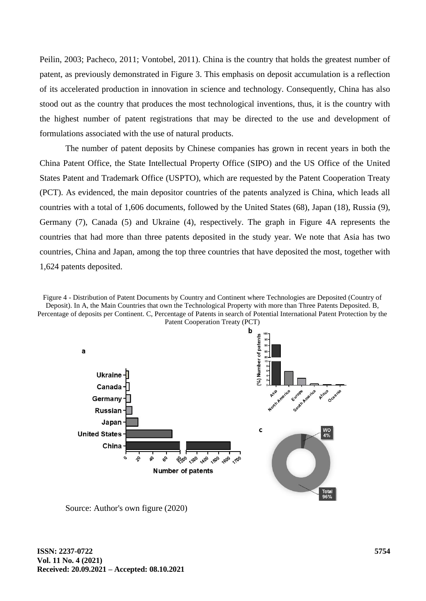Peilin, 2003; Pacheco, 2011; Vontobel, 2011). China is the country that holds the greatest number of patent, as previously demonstrated in Figure 3. This emphasis on deposit accumulation is a reflection of its accelerated production in innovation in science and technology. Consequently, China has also stood out as the country that produces the most technological inventions, thus, it is the country with the highest number of patent registrations that may be directed to the use and development of formulations associated with the use of natural products.

The number of patent deposits by Chinese companies has grown in recent years in both the China Patent Office, the State Intellectual Property Office (SIPO) and the US Office of the United States Patent and Trademark Office (USPTO), which are requested by the Patent Cooperation Treaty (PCT). As evidenced, the main depositor countries of the patents analyzed is China, which leads all countries with a total of 1,606 documents, followed by the United States (68), Japan (18), Russia (9), Germany (7), Canada (5) and Ukraine (4), respectively. The graph in Figure 4A represents the countries that had more than three patents deposited in the study year. We note that Asia has two countries, China and Japan, among the top three countries that have deposited the most, together with 1,624 patents deposited.

Figure 4 - Distribution of Patent Documents by Country and Continent where Technologies are Deposited (Country of Deposit). In A, the Main Countries that own the Technological Property with more than Three Patents Deposited. B, Percentage of deposits per Continent. C, Percentage of Patents in search of Potential International Patent Protection by the



Source: Author's own figure (2020)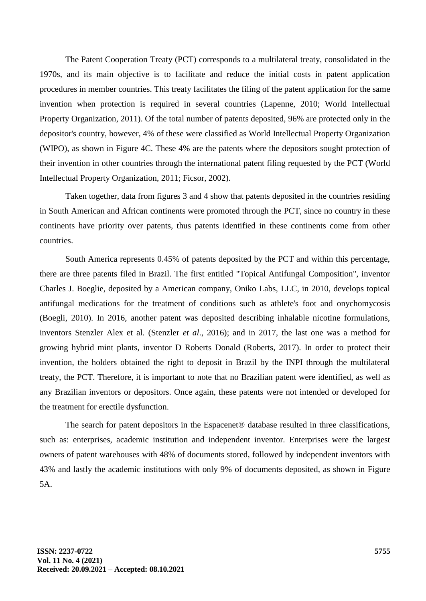The Patent Cooperation Treaty (PCT) corresponds to a multilateral treaty, consolidated in the 1970s, and its main objective is to facilitate and reduce the initial costs in patent application procedures in member countries. This treaty facilitates the filing of the patent application for the same invention when protection is required in several countries (Lapenne, 2010; World Intellectual Property Organization, 2011). Of the total number of patents deposited, 96% are protected only in the depositor's country, however, 4% of these were classified as World Intellectual Property Organization (WIPO), as shown in Figure 4C. These 4% are the patents where the depositors sought protection of their invention in other countries through the international patent filing requested by the PCT (World Intellectual Property Organization, 2011; Ficsor, 2002).

Taken together, data from figures 3 and 4 show that patents deposited in the countries residing in South American and African continents were promoted through the PCT, since no country in these continents have priority over patents, thus patents identified in these continents come from other countries.

South America represents 0.45% of patents deposited by the PCT and within this percentage, there are three patents filed in Brazil. The first entitled "Topical Antifungal Composition", inventor Charles J. Boeglie, deposited by a American company, Oniko Labs, LLC, in 2010, develops topical antifungal medications for the treatment of conditions such as athlete's foot and onychomycosis (Boegli, 2010). In 2016, another patent was deposited describing inhalable nicotine formulations, inventors Stenzler Alex et al. (Stenzler *et al*., 2016); and in 2017, the last one was a method for growing hybrid mint plants, inventor D Roberts Donald (Roberts, 2017). In order to protect their invention, the holders obtained the right to deposit in Brazil by the INPI through the multilateral treaty, the PCT. Therefore, it is important to note that no Brazilian patent were identified, as well as any Brazilian inventors or depositors. Once again, these patents were not intended or developed for the treatment for erectile dysfunction.

The search for patent depositors in the Espacenet® database resulted in three classifications, such as: enterprises, academic institution and independent inventor. Enterprises were the largest owners of patent warehouses with 48% of documents stored, followed by independent inventors with 43% and lastly the academic institutions with only 9% of documents deposited, as shown in Figure 5A.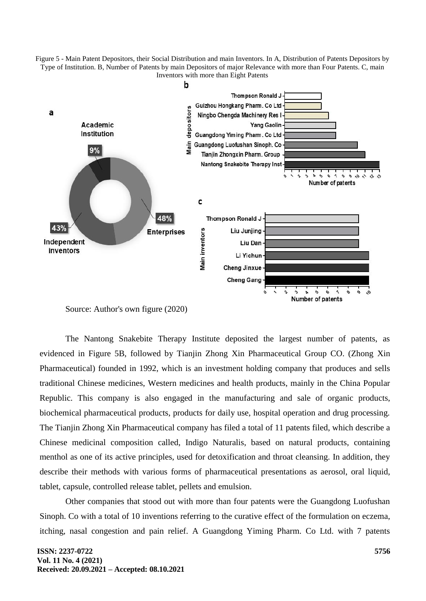Figure 5 - Main Patent Depositors, their Social Distribution and main Inventors. In A, Distribution of Patents Depositors by Type of Institution. B, Number of Patents by main Depositors of major Relevance with more than Four Patents. C, main Inventors with more than Eight Patents



Source: Author's own figure (2020)

The Nantong Snakebite Therapy Institute deposited the largest number of patents, as evidenced in Figure 5B, followed by Tianjin Zhong Xin Pharmaceutical Group CO. (Zhong Xin Pharmaceutical) founded in 1992, which is an investment holding company that produces and sells traditional Chinese medicines, Western medicines and health products, mainly in the China Popular Republic. This company is also engaged in the manufacturing and sale of organic products, biochemical pharmaceutical products, products for daily use, hospital operation and drug processing. The Tianjin Zhong Xin Pharmaceutical company has filed a total of 11 patents filed, which describe a Chinese medicinal composition called, Indigo Naturalis, based on natural products, containing menthol as one of its active principles, used for detoxification and throat cleansing. In addition, they describe their methods with various forms of pharmaceutical presentations as aerosol, oral liquid, tablet, capsule, controlled release tablet, pellets and emulsion.

Other companies that stood out with more than four patents were the Guangdong Luofushan Sinoph. Co with a total of 10 inventions referring to the curative effect of the formulation on eczema, itching, nasal congestion and pain relief. A Guangdong Yiming Pharm. Co Ltd. with 7 patents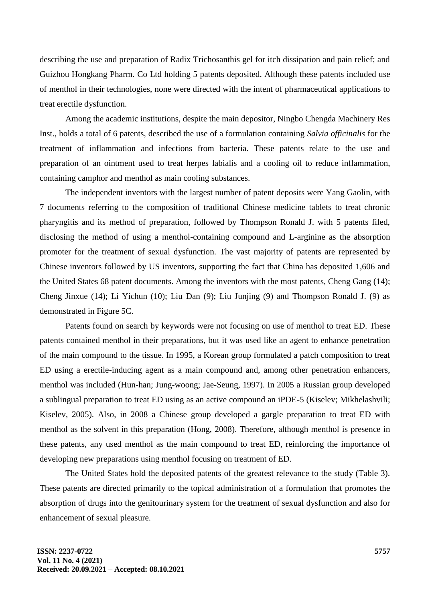describing the use and preparation of Radix Trichosanthis gel for itch dissipation and pain relief; and Guizhou Hongkang Pharm. Co Ltd holding 5 patents deposited. Although these patents included use of menthol in their technologies, none were directed with the intent of pharmaceutical applications to treat erectile dysfunction.

Among the academic institutions, despite the main depositor, Ningbo Chengda Machinery Res Inst., holds a total of 6 patents, described the use of a formulation containing *Salvia officinalis* for the treatment of inflammation and infections from bacteria. These patents relate to the use and preparation of an ointment used to treat herpes labialis and a cooling oil to reduce inflammation, containing camphor and menthol as main cooling substances.

The independent inventors with the largest number of patent deposits were Yang Gaolin, with 7 documents referring to the composition of traditional Chinese medicine tablets to treat chronic pharyngitis and its method of preparation, followed by Thompson Ronald J. with 5 patents filed, disclosing the method of using a menthol-containing compound and L-arginine as the absorption promoter for the treatment of sexual dysfunction. The vast majority of patents are represented by Chinese inventors followed by US inventors, supporting the fact that China has deposited 1,606 and the United States 68 patent documents. Among the inventors with the most patents, Cheng Gang (14); Cheng Jinxue (14); Li Yichun (10); Liu Dan (9); Liu Junjing (9) and Thompson Ronald J. (9) as demonstrated in Figure 5C.

Patents found on search by keywords were not focusing on use of menthol to treat ED. These patents contained menthol in their preparations, but it was used like an agent to enhance penetration of the main compound to the tissue. In 1995, a Korean group formulated a patch composition to treat ED using a erectile-inducing agent as a main compound and, among other penetration enhancers, menthol was included (Hun-han; Jung-woong; Jae-Seung, 1997). In 2005 a Russian group developed a sublingual preparation to treat ED using as an active compound an iPDE-5 (Kiselev; Mikhelashvili; Kiselev, 2005). Also, in 2008 a Chinese group developed a gargle preparation to treat ED with menthol as the solvent in this preparation (Hong, 2008). Therefore, although menthol is presence in these patents, any used menthol as the main compound to treat ED, reinforcing the importance of developing new preparations using menthol focusing on treatment of ED.

The United States hold the deposited patents of the greatest relevance to the study (Table 3). These patents are directed primarily to the topical administration of a formulation that promotes the absorption of drugs into the genitourinary system for the treatment of sexual dysfunction and also for enhancement of sexual pleasure.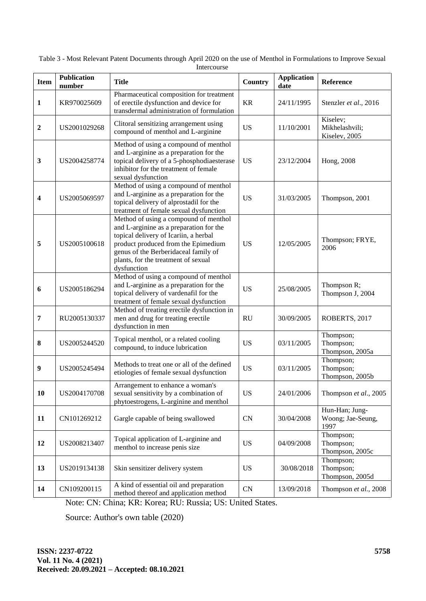| <b>Item</b>  | <b>Publication</b><br>number | <b>Title</b>                                                                                                                                                                                                                                                   | Country   | <b>Application</b><br>date | Reference                                   |
|--------------|------------------------------|----------------------------------------------------------------------------------------------------------------------------------------------------------------------------------------------------------------------------------------------------------------|-----------|----------------------------|---------------------------------------------|
| $\mathbf{1}$ | KR970025609                  | Pharmaceutical composition for treatment<br>of erectile dysfunction and device for<br>transdermal administration of formulation                                                                                                                                | <b>KR</b> | 24/11/1995                 | Stenzler et al., 2016                       |
| 2            | US2001029268                 | Clitoral sensitizing arrangement using<br>compound of menthol and L-arginine                                                                                                                                                                                   | <b>US</b> | 11/10/2001                 | Kiselev;<br>Mikhelashvili;<br>Kiselev, 2005 |
| 3            | US2004258774                 | Method of using a compound of menthol<br>and L-arginine as a preparation for the<br>topical delivery of a 5-phosphodiaesterase<br>inhibitor for the treatment of female<br>sexual dysfunction                                                                  | <b>US</b> | 23/12/2004                 | Hong, 2008                                  |
| 4            | US2005069597                 | Method of using a compound of menthol<br>and L-arginine as a preparation for the<br>topical delivery of alprostadil for the<br>treatment of female sexual dysfunction                                                                                          | <b>US</b> | 31/03/2005                 | Thompson, 2001                              |
| 5            | US2005100618                 | Method of using a compound of menthol<br>and L-arginine as a preparation for the<br>topical delivery of Icariin, a herbal<br>product produced from the Epimedium<br>genus of the Berberidaceal family of<br>plants, for the treatment of sexual<br>dysfunction | <b>US</b> | 12/05/2005                 | Thompson; FRYE,<br>2006                     |
| 6            | US2005186294                 | Method of using a compound of menthol<br>and L-arginine as a preparation for the<br>topical delivery of vardenafil for the<br>treatment of female sexual dysfunction                                                                                           | <b>US</b> | 25/08/2005                 | Thompson R;<br>Thompson J, 2004             |
| 7            | RU2005130337                 | Method of treating erectile dysfunction in<br>men and drug for treating erectile<br>dysfunction in men                                                                                                                                                         | <b>RU</b> | 30/09/2005                 | ROBERTS, 2017                               |
| 8            | US2005244520                 | Topical menthol, or a related cooling<br>compound, to induce lubrication                                                                                                                                                                                       | <b>US</b> | 03/11/2005                 | Thompson;<br>Thompson;<br>Thompson, 2005a   |
| 9            | US2005245494                 | Methods to treat one or all of the defined<br>etiologies of female sexual dysfunction                                                                                                                                                                          | <b>US</b> | 03/11/2005                 | Thompson;<br>Thompson;<br>Thompson, 2005b   |
| 10           | US2004170708                 | Arrangement to enhance a woman's<br>sexual sensitivity by a combination of<br>phytoestrogens, L-arginine and menthol                                                                                                                                           | <b>US</b> | 24/01/2006                 | Thompson et al., 2005                       |
| 11           | CN101269212                  | Gargle capable of being swallowed                                                                                                                                                                                                                              | CN        | 30/04/2008                 | Hun-Han; Jung-<br>Woong; Jae-Seung,<br>1997 |
| 12           | US2008213407                 | Topical application of L-arginine and<br>menthol to increase penis size                                                                                                                                                                                        | <b>US</b> | 04/09/2008                 | Thompson;<br>Thompson;<br>Thompson, 2005c   |
| 13           | US2019134138                 | Skin sensitizer delivery system                                                                                                                                                                                                                                | <b>US</b> | 30/08/2018                 | Thompson;<br>Thompson;<br>Thompson, 2005d   |
| 14           | CN109200115                  | A kind of essential oil and preparation<br>method thereof and application method                                                                                                                                                                               | CN        | 13/09/2018                 | Thompson et al., 2008                       |

Table 3 - Most Relevant Patent Documents through April 2020 on the use of Menthol in Formulations to Improve Sexual **Intercourse** 

Note: CN: China; KR: Korea; RU: Russia; US: United States.

Source: Author's own table (2020)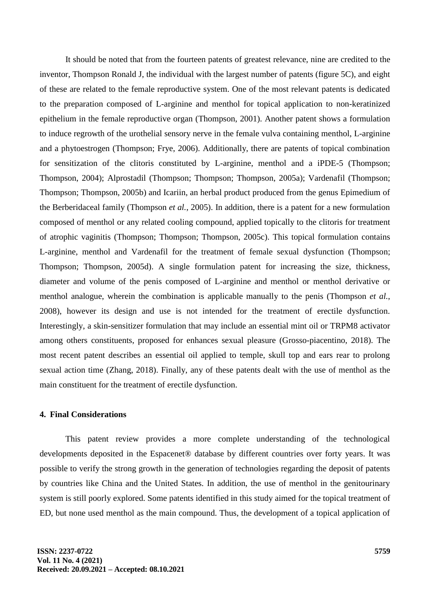It should be noted that from the fourteen patents of greatest relevance, nine are credited to the inventor, Thompson Ronald J, the individual with the largest number of patents (figure 5C), and eight of these are related to the female reproductive system. One of the most relevant patents is dedicated to the preparation composed of L-arginine and menthol for topical application to non-keratinized epithelium in the female reproductive organ (Thompson, 2001). Another patent shows a formulation to induce regrowth of the urothelial sensory nerve in the female vulva containing menthol, L-arginine and a phytoestrogen (Thompson; Frye, 2006). Additionally, there are patents of topical combination for sensitization of the clitoris constituted by L-arginine, menthol and a iPDE-5 (Thompson; Thompson, 2004); Alprostadil (Thompson; Thompson; Thompson, 2005a); Vardenafil (Thompson; Thompson; Thompson, 2005b) and Icariin, an herbal product produced from the genus Epimedium of the Berberidaceal family (Thompson *et al.*, 2005). In addition, there is a patent for a new formulation composed of menthol or any related cooling compound, applied topically to the clitoris for treatment of atrophic vaginitis (Thompson; Thompson; Thompson, 2005c). This topical formulation contains L-arginine, menthol and Vardenafil for the treatment of female sexual dysfunction (Thompson; Thompson; Thompson, 2005d). A single formulation patent for increasing the size, thickness, diameter and volume of the penis composed of L-arginine and menthol or menthol derivative or menthol analogue, wherein the combination is applicable manually to the penis (Thompson *et al.*, 2008), however its design and use is not intended for the treatment of erectile dysfunction. Interestingly, a skin-sensitizer formulation that may include an essential mint oil or TRPM8 activator among others constituents, proposed for enhances sexual pleasure (Grosso-piacentino, 2018). The most recent patent describes an essential oil applied to temple, skull top and ears rear to prolong sexual action time (Zhang, 2018). Finally, any of these patents dealt with the use of menthol as the main constituent for the treatment of erectile dysfunction.

#### **4. Final Considerations**

This patent review provides a more complete understanding of the technological developments deposited in the Espacenet® database by different countries over forty years. It was possible to verify the strong growth in the generation of technologies regarding the deposit of patents by countries like China and the United States. In addition, the use of menthol in the genitourinary system is still poorly explored. Some patents identified in this study aimed for the topical treatment of ED, but none used menthol as the main compound. Thus, the development of a topical application of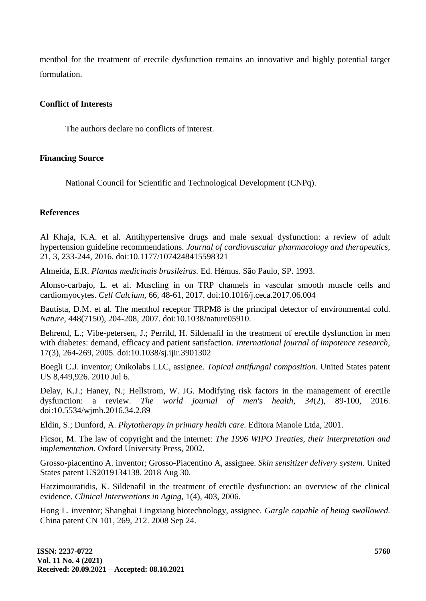menthol for the treatment of erectile dysfunction remains an innovative and highly potential target formulation.

# **Conflict of Interests**

The authors declare no conflicts of interest.

# **Financing Source**

National Council for Scientific and Technological Development (CNPq).

# **References**

Al Khaja, K.A. et al. Antihypertensive drugs and male sexual dysfunction: a review of adult hypertension guideline recommendations. *Journal of cardiovascular pharmacology and therapeutics,* 21, 3, 233-244, 2016. doi:10.1177/1074248415598321

Almeida, E.R. *Plantas medicinais brasileiras.* Ed. Hémus. São Paulo, SP. 1993.

Alonso-carbajo, L. et al. Muscling in on TRP channels in vascular smooth muscle cells and cardiomyocytes. *Cell Calcium,* 66, 48-61, 2017. doi:10.1016/j.ceca.2017.06.004

Bautista, D.M. et al. The menthol receptor TRPM8 is the principal detector of environmental cold. *Nature,* 448(7150), 204-208, 2007. doi:10.1038/nature05910.

Behrend, L.; Vibe-petersen, J.; Perrild, H. Sildenafil in the treatment of erectile dysfunction in men with diabetes: demand, efficacy and patient satisfaction. *International journal of impotence research,*  17(3), 264-269, 2005. doi:10.1038/sj.ijir.3901302

Boegli C.J. inventor; Onikolabs LLC, assignee. *Topical antifungal composition.* United States patent US 8,449,926. 2010 Jul 6.

Delay, K.J.; Haney, N.; Hellstrom, W. JG. Modifying risk factors in the management of erectile dysfunction: a review. *The world journal of men's health, 34*(2), 89-100, 2016. doi:10.5534/wjmh.2016.34.2.89

Eldin, S.; Dunford, A. *Phytotherapy in primary health care.* Editora Manole Ltda, 2001.

Ficsor, M. The law of copyright and the internet: *The 1996 WIPO Treaties, their interpretation and implementation.* Oxford University Press, 2002.

Grosso-piacentino A. inventor; Grosso-Piacentino A, assignee. *Skin sensitizer delivery system.* United States patent US2019134138. 2018 Aug 30.

Hatzimouratidis, K. Sildenafil in the treatment of erectile dysfunction: an overview of the clinical evidence. *Clinical Interventions in Aging,* 1(4), 403, 2006.

Hong L. inventor; Shanghai Lingxiang biotechnology, assignee. *Gargle capable of being swallowed.*  China patent CN 101, 269, 212. 2008 Sep 24.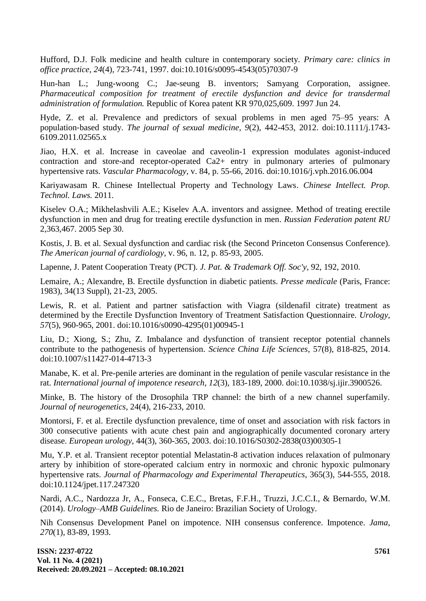Hufford, D.J. Folk medicine and health culture in contemporary society. *Primary care: clinics in office practice, 24*(4), 723-741, 1997. doi:10.1016/s0095-4543(05)70307-9

Hun-han L.; Jung-woong C.; Jae-seung B. inventors; Samyang Corporation, assignee. *Pharmaceutical composition for treatment of erectile dysfunction and device for transdermal administration of formulation.* Republic of Korea patent KR 970,025,609. 1997 Jun 24.

Hyde, Z. et al. Prevalence and predictors of sexual problems in men aged 75–95 years: A population‐based study. *The journal of sexual medicine, 9*(2), 442-453, 2012. doi:10.1111/j.1743- 6109.2011.02565.x

Jiao, H.X. et al. Increase in caveolae and caveolin-1 expression modulates agonist-induced contraction and store-and receptor-operated Ca2+ entry in pulmonary arteries of pulmonary hypertensive rats. *Vascular Pharmacology,* v. 84, p. 55-66, 2016. doi:10.1016/j.vph.2016.06.004

Kariyawasam R. Chinese Intellectual Property and Technology Laws. *Chinese Intellect. Prop. Technol. Laws.* 2011.

Kiselev O.A.; Mikhelashvili A.E.; Kiselev A.A. inventors and assignee. Method of treating erectile dysfunction in men and drug for treating erectile dysfunction in men. *Russian Federation patent RU*  2,363,467. 2005 Sep 30.

Kostis, J. B. et al. Sexual dysfunction and cardiac risk (the Second Princeton Consensus Conference). *The American journal of cardiology,* v. 96, n. 12, p. 85-93, 2005.

Lapenne, J. Patent Cooperation Treaty (PCT). *J. Pat. & Trademark Off. Soc'y,* 92, 192, 2010.

Lemaire, A.; Alexandre, B. Erectile dysfunction in diabetic patients. *Presse medicale* (Paris, France: 1983), 34(13 Suppl), 21-23, 2005.

Lewis, R. et al. Patient and partner satisfaction with Viagra (sildenafil citrate) treatment as determined by the Erectile Dysfunction Inventory of Treatment Satisfaction Questionnaire. *Urology, 57*(5), 960-965, 2001. doi:10.1016/s0090-4295(01)00945-1

Liu, D.; Xiong, S.; Zhu, Z. Imbalance and dysfunction of transient receptor potential channels contribute to the pathogenesis of hypertension. *Science China Life Sciences,* 57(8), 818-825, 2014. doi:10.1007/s11427-014-4713-3

Manabe, K. et al. Pre-penile arteries are dominant in the regulation of penile vascular resistance in the rat. *International journal of impotence research, 12*(3), 183-189, 2000. doi:10.1038/sj.ijir.3900526.

Minke, B. The history of the Drosophila TRP channel: the birth of a new channel superfamily. *Journal of neurogenetics,* 24(4), 216-233, 2010.

Montorsi, F. et al. Erectile dysfunction prevalence, time of onset and association with risk factors in 300 consecutive patients with acute chest pain and angiographically documented coronary artery disease. *European urology,* 44(3), 360-365, 2003. doi:10.1016/S0302-2838(03)00305-1

Mu, Y.P. et al. Transient receptor potential Melastatin-8 activation induces relaxation of pulmonary artery by inhibition of store-operated calcium entry in normoxic and chronic hypoxic pulmonary hypertensive rats. *Journal of Pharmacology and Experimental Therapeutics,* 365(3), 544-555, 2018. doi:10.1124/jpet.117.247320

Nardi, A.C., Nardozza Jr, A., Fonseca, C.E.C., Bretas, F.F.H., Truzzi, J.C.C.I., & Bernardo, W.M. (2014). *Urology–AMB Guidelines.* Rio de Janeiro: Brazilian Society of Urology.

Nih Consensus Development Panel on impotence. NIH consensus conference. Impotence. *Jama, 270*(1), 83-89, 1993.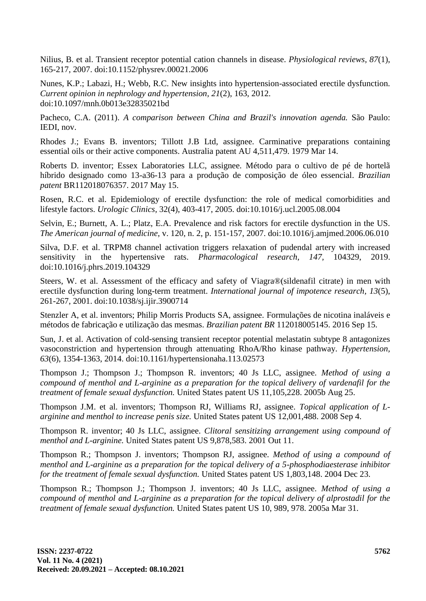Nilius, B. et al. Transient receptor potential cation channels in disease. *Physiological reviews, 87*(1), 165-217, 2007. doi:10.1152/physrev.00021.2006

Nunes, K.P.; Labazi, H.; Webb, R.C. New insights into hypertension-associated erectile dysfunction. *Current opinion in nephrology and hypertension, 21*(2), 163, 2012. doi:10.1097/mnh.0b013e32835021bd

Pacheco, C.A. (2011). *A comparison between China and Brazil's innovation agenda.* São Paulo: IEDI, nov.

Rhodes J.; Evans B. inventors; Tillott J.B Ltd, assignee. Carminative preparations containing essential oils or their active components. Australia patent AU 4,511,479. 1979 Mar 14.

Roberts D. inventor; Essex Laboratories LLC, assignee. Método para o cultivo de pé de hortelã híbrido designado como 13-a36-13 para a produção de composição de óleo essencial. *Brazilian patent* BR112018076357. 2017 May 15.

Rosen, R.C. et al. Epidemiology of erectile dysfunction: the role of medical comorbidities and lifestyle factors. *Urologic Clinics,* 32(4), 403-417, 2005. doi:10.1016/j.ucl.2005.08.004

Selvin, E.; Burnett, A. L.; Platz, E.A. Prevalence and risk factors for erectile dysfunction in the US. *The American journal of medicine*, v. 120, n. 2, p. 151-157, 2007. doi:10.1016/j.amjmed.2006.06.010

Silva, D.F. et al. TRPM8 channel activation triggers relaxation of pudendal artery with increased sensitivity in the hypertensive rats. *Pharmacological research, 147,* 104329, 2019. doi:10.1016/j.phrs.2019.104329

Steers, W. et al. Assessment of the efficacy and safety of Viagra®(sildenafil citrate) in men with erectile dysfunction during long-term treatment. *International journal of impotence research, 13*(5), 261-267, 2001. doi:10.1038/sj.ijir.3900714

Stenzler A, et al. inventors; Philip Morris Products SA, assignee. Formulações de nicotina inaláveis e métodos de fabricação e utilização das mesmas. *Brazilian patent BR* 112018005145. 2016 Sep 15.

Sun, J. et al. Activation of cold-sensing transient receptor potential melastatin subtype 8 antagonizes vasoconstriction and hypertension through attenuating RhoA/Rho kinase pathway. *Hypertension, 63*(6), 1354-1363, 2014. doi:10.1161/hypertensionaha.113.02573

Thompson J.; Thompson J.; Thompson R. inventors; 40 Js LLC, assignee. *Method of using a compound of menthol and L-arginine as a preparation for the topical delivery of vardenafil for the treatment of female sexual dysfunction.* United States patent US 11,105,228. 2005b Aug 25.

Thompson J.M. et al. inventors; Thompson RJ, Williams RJ, assignee. *Topical application of Larginine and menthol to increase penis size.* United States patent US 12,001,488. 2008 Sep 4.

Thompson R. inventor; 40 Js LLC, assignee. *Clitoral sensitizing arrangement using compound of menthol and L-arginine.* United States patent US 9,878,583. 2001 Out 11.

Thompson R.; Thompson J. inventors; Thompson RJ, assignee. *Method of using a compound of menthol and L-arginine as a preparation for the topical delivery of a 5-phosphodiaesterase inhibitor for the treatment of female sexual dysfunction.* United States patent US 1,803,148. 2004 Dec 23.

Thompson R.; Thompson J.; Thompson J. inventors; 40 Js LLC, assignee. *Method of using a compound of menthol and L-arginine as a preparation for the topical delivery of alprostadil for the treatment of female sexual dysfunction.* United States patent US 10, 989, 978. 2005a Mar 31.